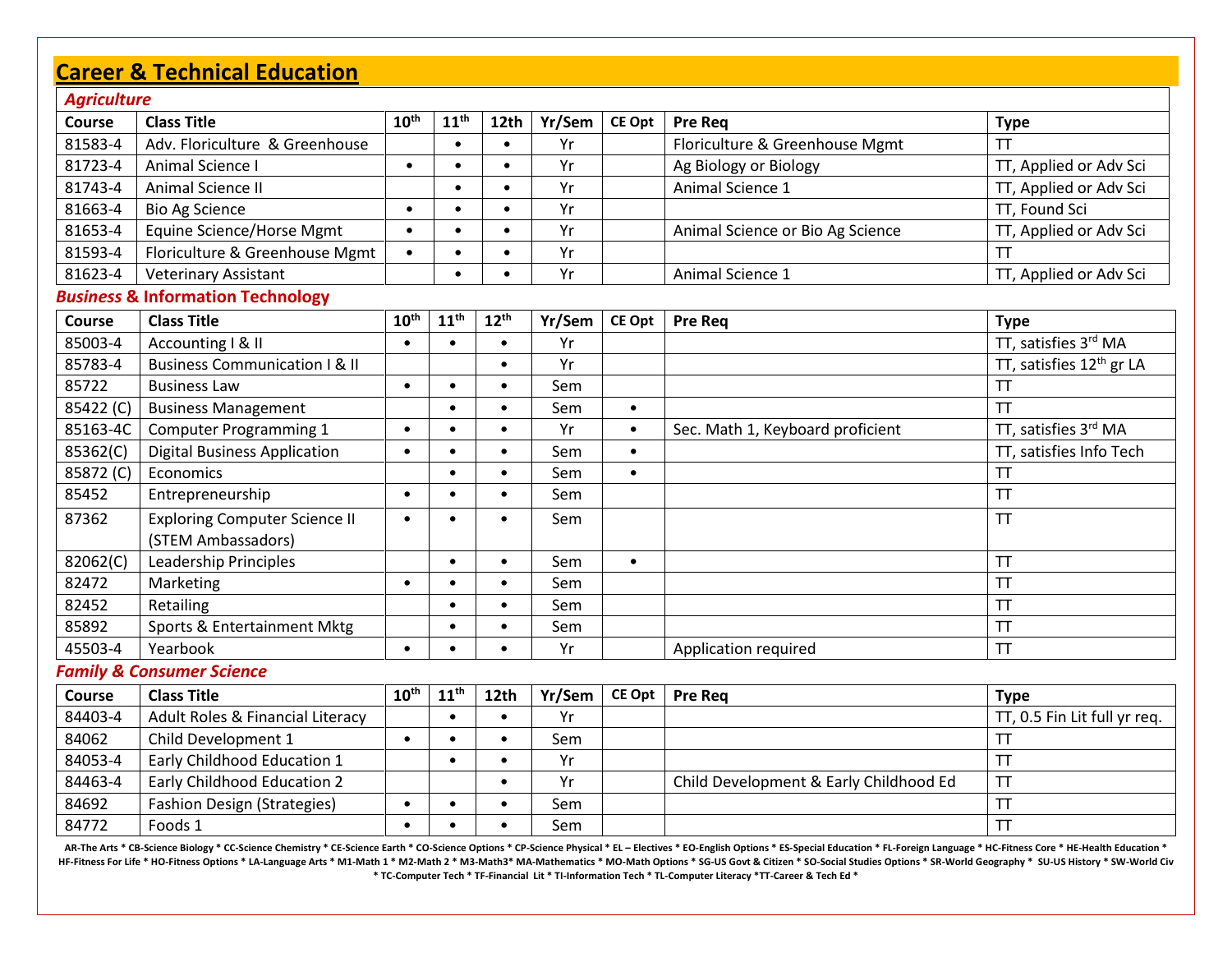## **Career & Technical Education**

| <b>Agriculture</b>                           |                                                            |                  |                  |           |        |               |                                        |                                      |  |  |
|----------------------------------------------|------------------------------------------------------------|------------------|------------------|-----------|--------|---------------|----------------------------------------|--------------------------------------|--|--|
| Course                                       | <b>Class Title</b>                                         | $10^{\text{th}}$ | 11 <sup>th</sup> | 12th      | Yr/Sem | <b>CE Opt</b> | <b>Pre Req</b>                         | <b>Type</b>                          |  |  |
| 81583-4                                      | Adv. Floriculture & Greenhouse                             |                  | $\bullet$        | $\bullet$ | Yr     |               | Floriculture & Greenhouse Mgmt         | <b>TT</b>                            |  |  |
| 81723-4                                      | Animal Science I                                           | $\bullet$        |                  | $\bullet$ | Yr     |               | Ag Biology or Biology                  | TT, Applied or Adv Sci               |  |  |
| 81743-4                                      | Animal Science II                                          |                  | $\bullet$        | $\bullet$ | Yr     |               | Animal Science 1                       | TT, Applied or Adv Sci               |  |  |
| 81663-4                                      | <b>Bio Ag Science</b>                                      | $\bullet$        | $\bullet$        | $\bullet$ | Yr     |               |                                        | TT, Found Sci                        |  |  |
| 81653-4                                      | Equine Science/Horse Mgmt                                  | $\bullet$        |                  | $\bullet$ | Yr     |               | Animal Science or Bio Ag Science       | TT, Applied or Adv Sci               |  |  |
| 81593-4                                      | Floriculture & Greenhouse Mgmt                             | $\bullet$        | $\bullet$        | $\bullet$ | Yr     |               |                                        | <b>TT</b>                            |  |  |
| 81623-4                                      | <b>Veterinary Assistant</b>                                |                  | $\bullet$        | $\bullet$ | Yr     |               | Animal Science 1                       | TT, Applied or Adv Sci               |  |  |
| <b>Business &amp; Information Technology</b> |                                                            |                  |                  |           |        |               |                                        |                                      |  |  |
| Course                                       | <b>Class Title</b>                                         | 10 <sup>th</sup> | 11 <sup>th</sup> | $12^{th}$ | Yr/Sem | <b>CE Opt</b> | <b>Pre Req</b>                         | <b>Type</b>                          |  |  |
| 85003-4                                      | Accounting   & II                                          | $\bullet$        | $\bullet$        |           | Yr     |               |                                        | TT, satisfies 3rd MA                 |  |  |
| 85783-4                                      | <b>Business Communication I &amp; II</b>                   |                  |                  | $\bullet$ | Yr     |               |                                        | TT, satisfies 12 <sup>th</sup> gr LA |  |  |
| 85722                                        | <b>Business Law</b>                                        | $\bullet$        | $\bullet$        | $\bullet$ | Sem    |               |                                        | <b>TT</b>                            |  |  |
| 85422 (C)                                    | <b>Business Management</b>                                 |                  | $\bullet$        | $\bullet$ | Sem    | $\bullet$     |                                        | <b>TT</b>                            |  |  |
| 85163-4C                                     | <b>Computer Programming 1</b>                              | $\bullet$        | $\bullet$        | $\bullet$ | Yr     | $\bullet$     | Sec. Math 1, Keyboard proficient       | TT, satisfies 3rd MA                 |  |  |
| 85362(C)                                     | <b>Digital Business Application</b>                        | $\bullet$        | $\bullet$        | $\bullet$ | Sem    | $\bullet$     |                                        | TT, satisfies Info Tech              |  |  |
| 85872 (C)                                    | Economics                                                  |                  | $\bullet$        | $\bullet$ | Sem    | $\bullet$     |                                        | <b>TT</b>                            |  |  |
| 85452                                        | Entrepreneurship                                           | $\bullet$        | $\bullet$        |           | Sem    |               |                                        | TT                                   |  |  |
| 87362                                        | <b>Exploring Computer Science II</b><br>(STEM Ambassadors) | $\bullet$        | $\bullet$        | $\bullet$ | Sem    |               |                                        | <b>TT</b>                            |  |  |
| 82062(C)                                     | Leadership Principles                                      |                  | $\bullet$        | $\bullet$ | Sem    | $\bullet$     |                                        | <b>TT</b>                            |  |  |
| 82472                                        | Marketing                                                  | $\bullet$        | $\bullet$        | $\bullet$ | Sem    |               |                                        | <b>TT</b>                            |  |  |
| 82452                                        | Retailing                                                  |                  | $\bullet$        | $\bullet$ | Sem    |               |                                        | <b>TT</b>                            |  |  |
| 85892                                        | Sports & Entertainment Mktg                                |                  | $\bullet$        | $\bullet$ | Sem    |               |                                        | <b>TT</b>                            |  |  |
| 45503-4                                      | Yearbook                                                   | $\bullet$        | $\bullet$        |           | Yr     |               | Application required                   | <b>TT</b>                            |  |  |
|                                              | <b>Family &amp; Consumer Science</b>                       |                  |                  |           |        |               |                                        |                                      |  |  |
| Course                                       | <b>Class Title</b>                                         | $10^{\text{th}}$ | 11 <sup>th</sup> | 12th      | Yr/Sem | <b>CE Opt</b> | <b>Pre Req</b>                         | <b>Type</b>                          |  |  |
| 84403-4                                      | <b>Adult Roles &amp; Financial Literacy</b>                |                  | $\bullet$        |           | Yr     |               |                                        | TT, 0.5 Fin Lit full yr req.         |  |  |
| 84062                                        | Child Development 1                                        | $\bullet$        | $\bullet$        | $\bullet$ | Sem    |               |                                        | <b>TT</b>                            |  |  |
| 84053-4                                      | Early Childhood Education 1                                |                  | $\bullet$        | $\bullet$ | Yr     |               |                                        | <b>TT</b>                            |  |  |
| 84463-4                                      | <b>Early Childhood Education 2</b>                         |                  |                  | $\bullet$ | Yr     |               | Child Development & Early Childhood Ed | <b>TT</b>                            |  |  |

AR-The Arts \* CB-Science Biology \* CC-Science Chemistry \* CE-Science Earth \* CO-Science Options \* CP-Science Physical \* EL - Electives \* ED-English Options \* ES-Special Education \* FL-Foreign Language \* HC-Fitness Core \* H HF-Fitness For Life \* HO-Fitness Options \* LA-Language Arts \* M1-Math 1 \* M2-Math 2 \* M3-Math3\* MA-Mathematics \* MO-Math Options \* SG-US Govt & Citizen \* SO-Social Studies Options \* SR-World Geography \* SU-US History \* SW-**\* TC-Computer Tech \* TF-Financial Lit \* TI-Information Tech \* TL-Computer Literacy \*TT-Career & Tech Ed \***

84692 Fashion Design (Strategies) • • • Sem TT 84772 Foods 1 • • • Sem TT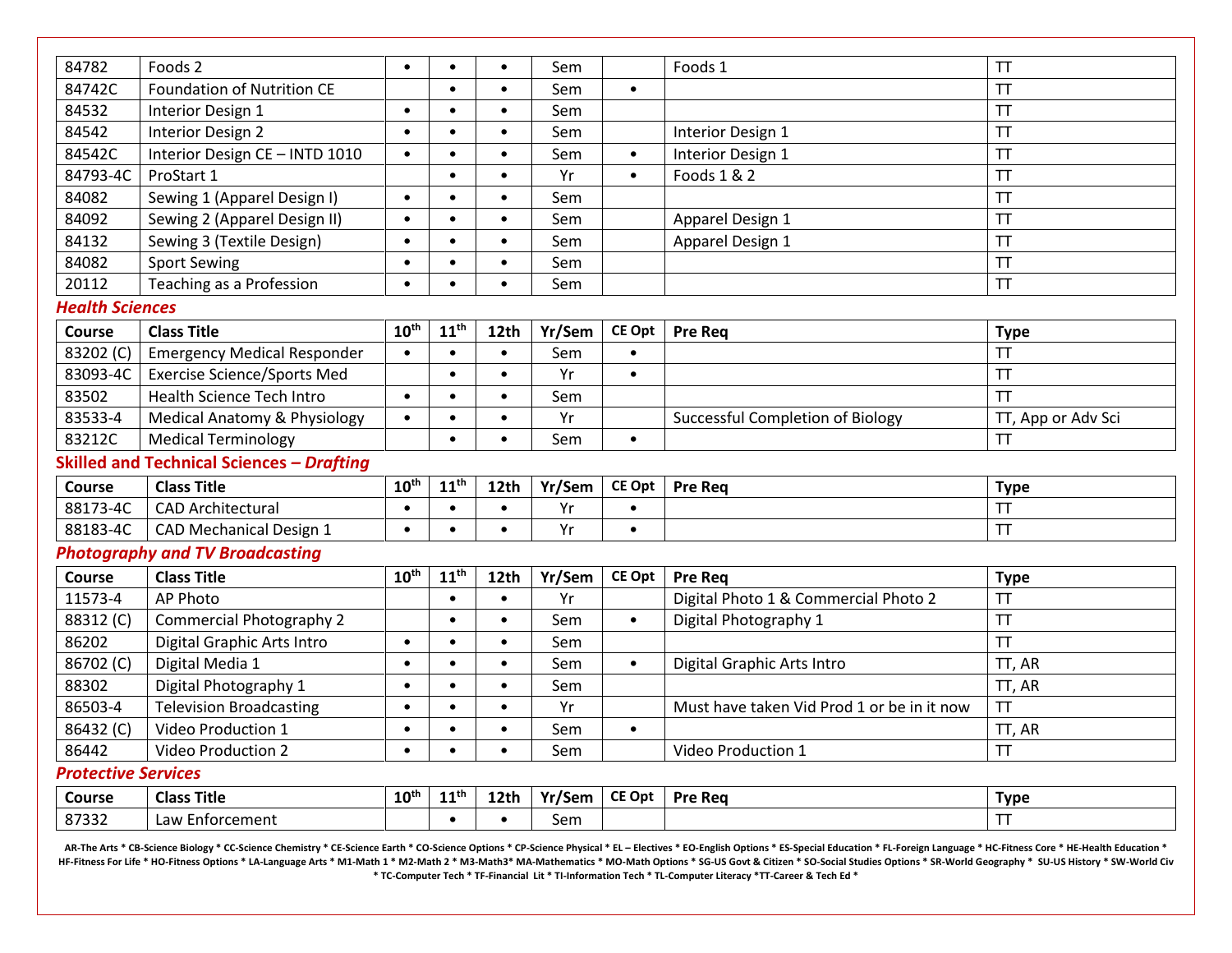| 84782                      | Foods 2                                          | $\bullet$        | $\bullet$        |           | Sem    |               | Foods 1                                    | TΤ                 |
|----------------------------|--------------------------------------------------|------------------|------------------|-----------|--------|---------------|--------------------------------------------|--------------------|
| 84742C                     | <b>Foundation of Nutrition CE</b>                |                  | $\bullet$        |           | Sem    | $\bullet$     |                                            | <b>TT</b>          |
| 84532                      | Interior Design 1                                | $\bullet$        | $\bullet$        | $\bullet$ | Sem    |               |                                            | <b>TT</b>          |
| 84542                      | Interior Design 2                                | $\bullet$        | $\bullet$        | $\bullet$ | Sem    |               | Interior Design 1                          | <b>TT</b>          |
| 84542C                     | Interior Design CE - INTD 1010                   | $\bullet$        | $\bullet$        | $\bullet$ | Sem    | $\bullet$     | Interior Design 1                          | <b>TT</b>          |
| 84793-4C                   | ProStart 1                                       |                  | $\bullet$        | $\bullet$ | Yr     | $\bullet$     | Foods 1 & 2                                | <b>TT</b>          |
| 84082                      | Sewing 1 (Apparel Design I)                      | $\bullet$        | $\bullet$        | $\bullet$ | Sem    |               |                                            | <b>TT</b>          |
| 84092                      | Sewing 2 (Apparel Design II)                     | $\bullet$        | $\bullet$        | $\bullet$ | Sem    |               | Apparel Design 1                           | <b>TT</b>          |
| 84132                      | Sewing 3 (Textile Design)                        | $\bullet$        | $\bullet$        | $\bullet$ | Sem    |               | Apparel Design 1                           | <b>TT</b>          |
| 84082                      | <b>Sport Sewing</b>                              | $\bullet$        | $\bullet$        | $\bullet$ | Sem    |               |                                            | TT                 |
| 20112                      | Teaching as a Profession                         | $\bullet$        | $\bullet$        | $\bullet$ | Sem    |               |                                            | <b>TT</b>          |
| <b>Health Sciences</b>     |                                                  |                  |                  |           |        |               |                                            |                    |
| Course                     | <b>Class Title</b>                               | 10 <sup>th</sup> | 11 <sup>th</sup> | 12th      | Yr/Sem | <b>CE Opt</b> | <b>Pre Req</b>                             | <b>Type</b>        |
| 83202 (C)                  | <b>Emergency Medical Responder</b>               | $\bullet$        | $\bullet$        | $\bullet$ | Sem    | $\bullet$     |                                            | <b>TT</b>          |
| 83093-4C                   | <b>Exercise Science/Sports Med</b>               |                  | $\bullet$        | $\bullet$ | Yr     | $\bullet$     |                                            | <b>TT</b>          |
| 83502                      | Health Science Tech Intro                        | $\bullet$        | $\bullet$        | $\bullet$ | Sem    |               |                                            | <b>TT</b>          |
| 83533-4                    | <b>Medical Anatomy &amp; Physiology</b>          | $\bullet$        | $\bullet$        | $\bullet$ | Yr     |               | Successful Completion of Biology           | TT, App or Adv Sci |
| 83212C                     | <b>Medical Terminology</b>                       |                  | $\bullet$        | $\bullet$ | Sem    | $\bullet$     |                                            | <b>TT</b>          |
|                            | <b>Skilled and Technical Sciences - Drafting</b> |                  |                  |           |        |               |                                            |                    |
| <b>Course</b>              | <b>Class Title</b>                               | 10 <sup>th</sup> | 11 <sup>th</sup> | 12th      | Yr/Sem | <b>CE Opt</b> | Pre Req                                    | <b>Type</b>        |
| 88173-4C                   | <b>CAD Architectural</b>                         | $\bullet$        | $\bullet$        | $\bullet$ | Yr     | $\bullet$     |                                            | <b>TT</b>          |
| 88183-4C                   | <b>CAD Mechanical Design 1</b>                   | $\bullet$        | $\bullet$        | $\bullet$ | Yr     | $\bullet$     |                                            | <b>TT</b>          |
|                            | <b>Photography and TV Broadcasting</b>           |                  |                  |           |        |               |                                            |                    |
| Course                     | <b>Class Title</b>                               | 10 <sup>th</sup> | 11 <sup>th</sup> | 12th      | Yr/Sem | <b>CE Opt</b> | <b>Pre Reg</b>                             | <b>Type</b>        |
| 11573-4                    | <b>AP Photo</b>                                  |                  | $\bullet$        | $\bullet$ | Yr     |               | Digital Photo 1 & Commercial Photo 2       | <b>TT</b>          |
| 88312 (C)                  | <b>Commercial Photography 2</b>                  |                  | $\bullet$        | $\bullet$ | Sem    | $\bullet$     | Digital Photography 1                      | <b>TT</b>          |
| 86202                      | Digital Graphic Arts Intro                       | $\bullet$        | $\bullet$        | $\bullet$ | Sem    |               |                                            | <b>TT</b>          |
| 86702 (C)                  | Digital Media 1                                  | $\bullet$        | $\bullet$        | $\bullet$ | Sem    | $\bullet$     | Digital Graphic Arts Intro                 | TT, AR             |
| 88302                      | Digital Photography 1                            | $\bullet$        | $\bullet$        | $\bullet$ | Sem    |               |                                            | TT, AR             |
| 86503-4                    | <b>Television Broadcasting</b>                   | $\bullet$        | $\bullet$        | $\bullet$ | Yr     |               | Must have taken Vid Prod 1 or be in it now | <b>TT</b>          |
| 86432 (C)                  | Video Production 1                               | $\bullet$        | $\bullet$        | $\bullet$ | Sem    | $\bullet$     |                                            | TT, AR             |
| 86442                      | <b>Video Production 2</b>                        | $\bullet$        | $\bullet$        | $\bullet$ | Sem    |               | Video Production 1                         | <b>TT</b>          |
| <b>Protective Services</b> |                                                  |                  |                  |           |        |               |                                            |                    |
| Course                     | <b>Class Title</b>                               | 10 <sup>th</sup> | 11 <sup>th</sup> | 12th      | Yr/Sem | <b>CE Opt</b> | <b>Pre Req</b>                             | <b>Type</b>        |
|                            |                                                  |                  |                  |           |        |               |                                            |                    |
| 87332                      | Law Enforcement                                  |                  | $\bullet$        | $\bullet$ | Sem    |               |                                            | <b>TT</b>          |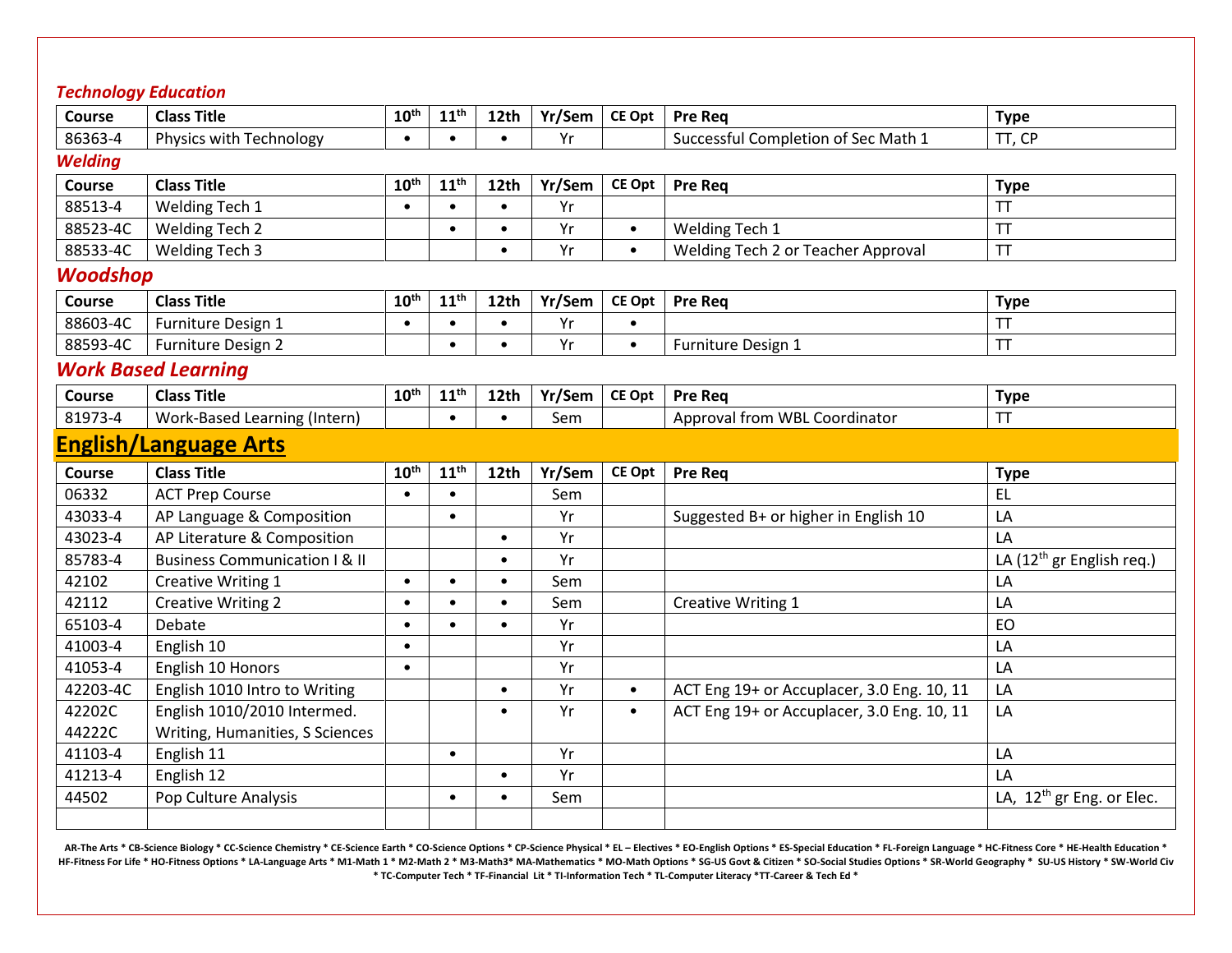## *Technology Education*

| Compley Lautanon |                                          |                  |                  |           |        |               |                                            |                                       |
|------------------|------------------------------------------|------------------|------------------|-----------|--------|---------------|--------------------------------------------|---------------------------------------|
| Course           | <b>Class Title</b>                       | 10 <sup>th</sup> | 11 <sup>th</sup> | 12th      | Yr/Sem | <b>CE Opt</b> | <b>Pre Req</b>                             | <b>Type</b>                           |
| 86363-4          | Physics with Technology                  | $\bullet$        | $\bullet$        | $\bullet$ | Yr     |               | Successful Completion of Sec Math 1        | TT, CP                                |
| <b>Welding</b>   |                                          |                  |                  |           |        |               |                                            |                                       |
| Course           | <b>Class Title</b>                       | 10 <sup>th</sup> | 11 <sup>th</sup> | 12th      | Yr/Sem | <b>CE Opt</b> | Pre Req                                    | <b>Type</b>                           |
| 88513-4          | Welding Tech 1                           | $\bullet$        | $\bullet$        | $\bullet$ | Yr     |               |                                            | <b>TT</b>                             |
| 88523-4C         | <b>Welding Tech 2</b>                    |                  | $\bullet$        | $\bullet$ | Yr     | $\bullet$     | Welding Tech 1                             | <b>TT</b>                             |
| 88533-4C         | <b>Welding Tech 3</b>                    |                  |                  | $\bullet$ | Yr     | $\bullet$     | Welding Tech 2 or Teacher Approval         | <b>TT</b>                             |
| <b>Woodshop</b>  |                                          |                  |                  |           |        |               |                                            |                                       |
| <b>Course</b>    | <b>Class Title</b>                       | $10^{th}$        | 11 <sup>th</sup> | 12th      | Yr/Sem | <b>CE Opt</b> | <b>Pre Req</b>                             | <b>Type</b>                           |
| 88603-4C         | Furniture Design 1                       | $\bullet$        | $\bullet$        | $\bullet$ | Yr     | $\bullet$     |                                            | <b>TT</b>                             |
| 88593-4C         | Furniture Design 2                       |                  | $\bullet$        | $\bullet$ | Yr     | $\bullet$     | Furniture Design 1                         | <b>TT</b>                             |
|                  | <b>Work Based Learning</b>               |                  |                  |           |        |               |                                            |                                       |
| Course           | <b>Class Title</b>                       | 10 <sup>th</sup> | 11 <sup>th</sup> | 12th      | Yr/Sem | <b>CE Opt</b> | <b>Pre Req</b>                             | <b>Type</b>                           |
| 81973-4          | Work-Based Learning (Intern)             |                  | $\bullet$        | $\bullet$ | Sem    |               | Approval from WBL Coordinator              | <b>TT</b>                             |
|                  | <b>English/Language Arts</b>             |                  |                  |           |        |               |                                            |                                       |
|                  |                                          |                  |                  |           |        |               |                                            |                                       |
| <b>Course</b>    | <b>Class Title</b>                       | 10 <sup>th</sup> | 11 <sup>th</sup> | 12th      | Yr/Sem | <b>CE Opt</b> | <b>Pre Req</b>                             | <b>Type</b>                           |
| 06332            | <b>ACT Prep Course</b>                   | $\bullet$        | $\bullet$        |           | Sem    |               |                                            | <b>EL</b>                             |
| 43033-4          | AP Language & Composition                |                  | $\bullet$        |           | Yr     |               | Suggested B+ or higher in English 10       | LA                                    |
| 43023-4          | AP Literature & Composition              |                  |                  | $\bullet$ | Yr     |               |                                            | LA                                    |
| 85783-4          | <b>Business Communication I &amp; II</b> |                  |                  | $\bullet$ | Yr     |               |                                            | LA (12 <sup>th</sup> gr English req.) |
| 42102            | <b>Creative Writing 1</b>                | $\bullet$        | $\bullet$        | $\bullet$ | Sem    |               |                                            | LA                                    |
| 42112            | <b>Creative Writing 2</b>                | $\bullet$        | $\bullet$        | $\bullet$ | Sem    |               | Creative Writing 1                         | LA                                    |
| 65103-4          | Debate                                   | $\bullet$        | $\bullet$        | $\bullet$ | Yr     |               |                                            | EO                                    |
| 41003-4          | English 10                               | $\bullet$        |                  |           | Yr     |               |                                            | LA                                    |
| 41053-4          | English 10 Honors                        | $\bullet$        |                  |           | Yr     |               |                                            | LA                                    |
| 42203-4C         | English 1010 Intro to Writing            |                  |                  | $\bullet$ | Yr     | $\bullet$     | ACT Eng 19+ or Accuplacer, 3.0 Eng. 10, 11 | LA                                    |
| 42202C           | English 1010/2010 Intermed.              |                  |                  | $\bullet$ | Yr     | $\bullet$     | ACT Eng 19+ or Accuplacer, 3.0 Eng. 10, 11 | LA                                    |
| 44222C           | Writing, Humanities, S Sciences          |                  |                  |           |        |               |                                            |                                       |
| 41103-4          | English 11                               |                  | $\bullet$        |           | Yr     |               |                                            | LA                                    |
| 41213-4          | English 12                               |                  |                  | $\bullet$ | Yr     |               |                                            | LA                                    |
| 44502            | Pop Culture Analysis                     |                  | $\bullet$        | $\bullet$ | Sem    |               |                                            | LA, $12^{th}$ gr Eng. or Elec.        |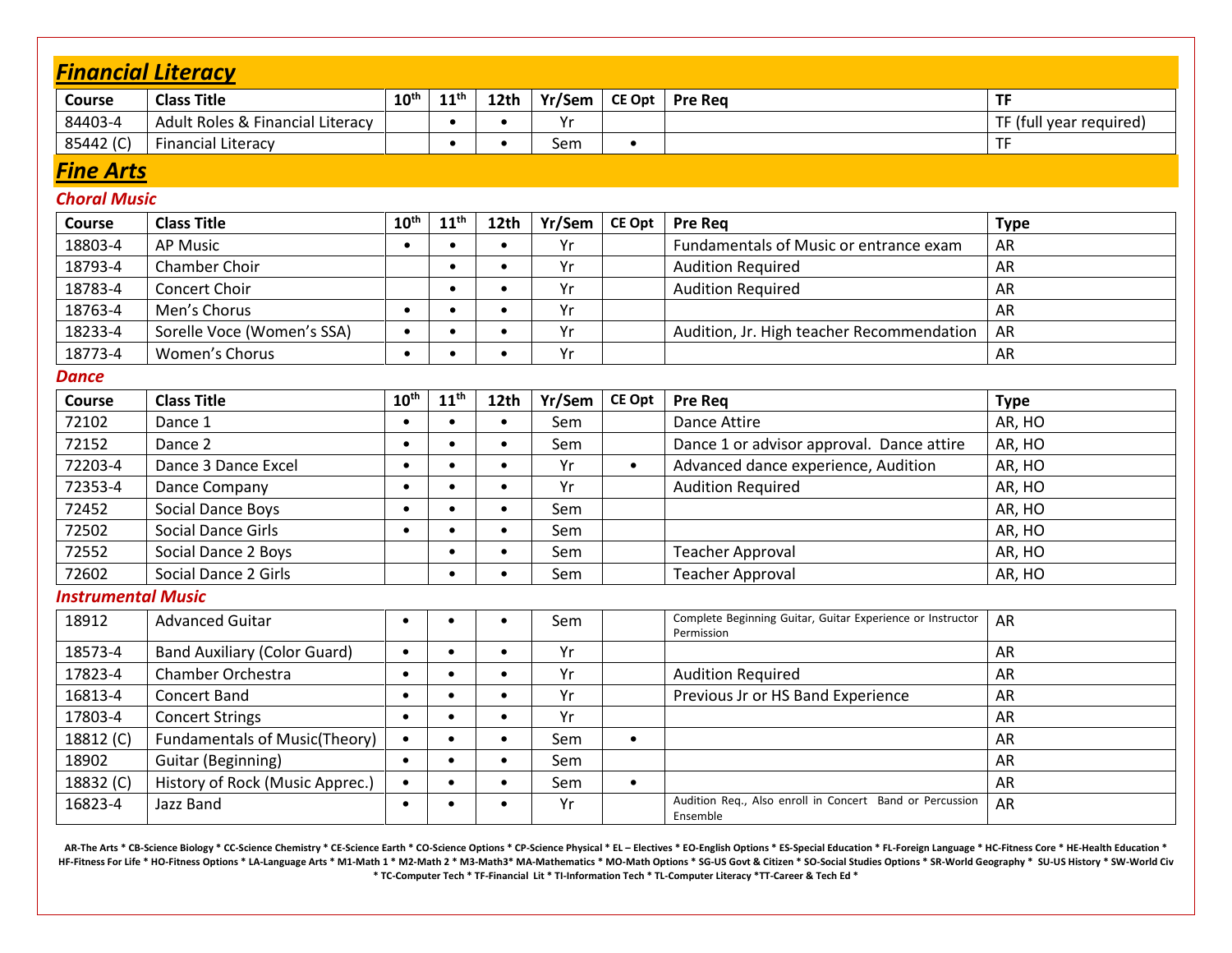|                           | <b>Financial Literacy</b>                   |                  |                  |           |        |           |                                                                          |                         |  |  |
|---------------------------|---------------------------------------------|------------------|------------------|-----------|--------|-----------|--------------------------------------------------------------------------|-------------------------|--|--|
| Course                    | <b>Class Title</b>                          | 10 <sup>th</sup> | 11 <sup>th</sup> | 12th      | Yr/Sem | CE Opt    | <b>Pre Req</b>                                                           | <b>TF</b>               |  |  |
| 84403-4                   | <b>Adult Roles &amp; Financial Literacy</b> |                  | $\bullet$        | $\bullet$ | Yr     |           |                                                                          | TF (full year required) |  |  |
| 85442 (C)                 | <b>Financial Literacy</b>                   |                  | $\bullet$        | $\bullet$ | Sem    | $\bullet$ |                                                                          | <b>TF</b>               |  |  |
| <b>Fine Arts</b>          |                                             |                  |                  |           |        |           |                                                                          |                         |  |  |
| <b>Choral Music</b>       |                                             |                  |                  |           |        |           |                                                                          |                         |  |  |
| Course                    | <b>Class Title</b>                          | 10 <sup>th</sup> | 11 <sup>th</sup> | 12th      | Yr/Sem | CE Opt    | <b>Pre Rea</b>                                                           | <b>Type</b>             |  |  |
| 18803-4                   | <b>AP Music</b>                             | $\bullet$        | $\bullet$        | $\bullet$ | Yr     |           | Fundamentals of Music or entrance exam                                   | <b>AR</b>               |  |  |
| 18793-4                   | Chamber Choir                               |                  | $\bullet$        | $\bullet$ | Yr     |           | <b>Audition Required</b>                                                 | AR                      |  |  |
| 18783-4                   | <b>Concert Choir</b>                        |                  | $\bullet$        | $\bullet$ | Yr     |           | <b>Audition Required</b>                                                 | AR                      |  |  |
| 18763-4                   | Men's Chorus                                | $\bullet$        | $\bullet$        | $\bullet$ | Yr     |           |                                                                          | <b>AR</b>               |  |  |
| 18233-4                   | Sorelle Voce (Women's SSA)                  | $\bullet$        | $\bullet$        | $\bullet$ | Yr     |           | Audition, Jr. High teacher Recommendation                                | <b>AR</b>               |  |  |
| 18773-4                   | Women's Chorus                              | $\bullet$        | $\bullet$        | $\bullet$ | Yr     |           |                                                                          | AR                      |  |  |
| <b>Dance</b>              |                                             |                  |                  |           |        |           |                                                                          |                         |  |  |
| Course                    | <b>Class Title</b>                          | 10 <sup>th</sup> | 11 <sup>th</sup> | 12th      | Yr/Sem | CE Opt    | <b>Pre Req</b>                                                           | <b>Type</b>             |  |  |
| 72102                     | Dance 1                                     | $\bullet$        | $\bullet$        | $\bullet$ | Sem    |           | <b>Dance Attire</b>                                                      | AR, HO                  |  |  |
| 72152                     | Dance 2                                     | $\bullet$        | $\bullet$        | $\bullet$ | Sem    |           | Dance 1 or advisor approval. Dance attire                                | AR, HO                  |  |  |
| 72203-4                   | Dance 3 Dance Excel                         | $\bullet$        | $\bullet$        | $\bullet$ | Yr     | $\bullet$ | Advanced dance experience, Audition                                      | AR, HO                  |  |  |
| 72353-4                   | Dance Company                               | $\bullet$        | $\bullet$        | $\bullet$ | Yr     |           | <b>Audition Required</b>                                                 | AR, HO                  |  |  |
| 72452                     | <b>Social Dance Boys</b>                    | $\bullet$        | $\bullet$        | $\bullet$ | Sem    |           |                                                                          | AR, HO                  |  |  |
| 72502                     | <b>Social Dance Girls</b>                   | $\bullet$        | $\bullet$        | $\bullet$ | Sem    |           |                                                                          | AR, HO                  |  |  |
| 72552                     | Social Dance 2 Boys                         |                  | $\bullet$        | $\bullet$ | Sem    |           | <b>Teacher Approval</b>                                                  | AR, HO                  |  |  |
| 72602                     | Social Dance 2 Girls                        |                  | $\bullet$        | $\bullet$ | Sem    |           | <b>Teacher Approval</b>                                                  | AR, HO                  |  |  |
| <b>Instrumental Music</b> |                                             |                  |                  |           |        |           |                                                                          |                         |  |  |
| 18912                     | <b>Advanced Guitar</b>                      | $\bullet$        | $\bullet$        | $\bullet$ | Sem    |           | Complete Beginning Guitar, Guitar Experience or Instructor<br>Permission | <b>AR</b>               |  |  |
| 18573-4                   | <b>Band Auxiliary (Color Guard)</b>         | $\bullet$        | $\bullet$        | $\bullet$ | Yr     |           |                                                                          | <b>AR</b>               |  |  |
| 17823-4                   | Chamber Orchestra                           | $\bullet$        | $\bullet$        | $\bullet$ | Yr     |           | <b>Audition Required</b>                                                 | AR                      |  |  |
| 16813-4                   | <b>Concert Band</b>                         | $\bullet$        | $\bullet$        | $\bullet$ | Yr     |           | Previous Jr or HS Band Experience                                        | AR                      |  |  |
| 17803-4                   | <b>Concert Strings</b>                      | $\bullet$        | $\bullet$        | $\bullet$ | Yr     |           |                                                                          | AR                      |  |  |
| 18812 (C)                 | <b>Fundamentals of Music(Theory)</b>        | $\bullet$        | $\bullet$        | $\bullet$ | Sem    | $\bullet$ |                                                                          | AR                      |  |  |
| 18902                     | Guitar (Beginning)                          | $\bullet$        | $\bullet$        | $\bullet$ | Sem    |           |                                                                          | AR                      |  |  |
| 18832 (C)                 | History of Rock (Music Apprec.)             | $\bullet$        | $\bullet$        | ٠         | Sem    | $\bullet$ |                                                                          | <b>AR</b>               |  |  |
| 16823-4                   | Jazz Band                                   | $\bullet$        | $\bullet$        | $\bullet$ | Yr     |           | Audition Reg., Also enroll in Concert Band or Percussion<br>Ensemble     | <b>AR</b>               |  |  |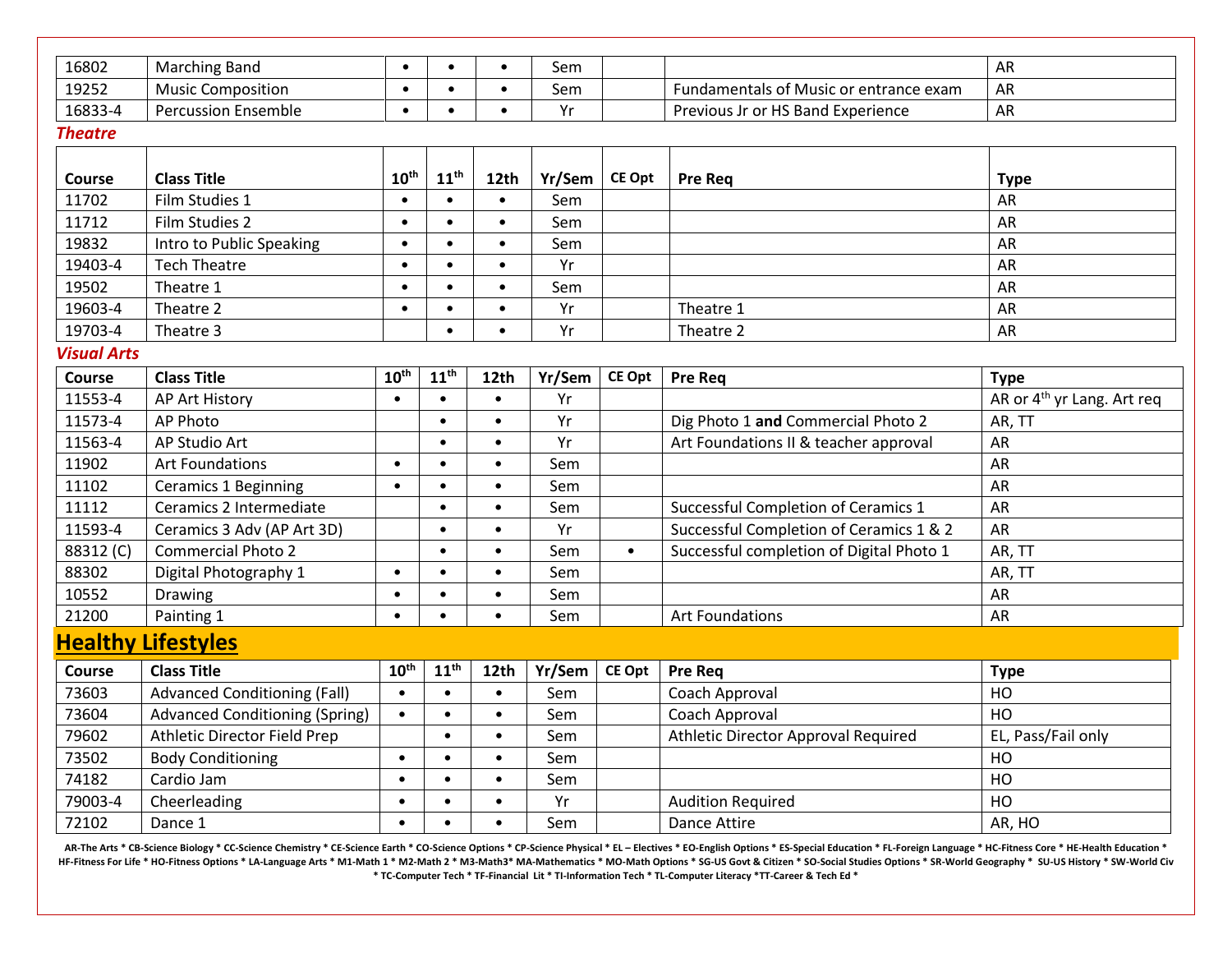| 16802              | <b>Marching Band</b>                | $\bullet$        | $\bullet$        | $\bullet$ | Sem       |               |                                          | AR                                     |
|--------------------|-------------------------------------|------------------|------------------|-----------|-----------|---------------|------------------------------------------|----------------------------------------|
| 19252              | <b>Music Composition</b>            | $\bullet$        | $\bullet$        | $\bullet$ | Sem       |               | Fundamentals of Music or entrance exam   | AR                                     |
| 16833-4            | <b>Percussion Ensemble</b>          | $\bullet$        | $\bullet$        | $\bullet$ | Yr        |               | Previous Jr or HS Band Experience        | AR                                     |
| <b>Theatre</b>     |                                     |                  |                  |           |           |               |                                          |                                        |
|                    |                                     |                  |                  |           |           |               |                                          |                                        |
| Course             | <b>Class Title</b>                  | 10 <sup>th</sup> | $11^{\text{th}}$ | 12th      | Yr/Sem    | <b>CE Opt</b> | Pre Req                                  | <b>Type</b>                            |
| 11702              | Film Studies 1                      | $\bullet$        | $\bullet$        |           | Sem       |               |                                          | <b>AR</b>                              |
| 11712              | Film Studies 2                      | $\bullet$        | $\bullet$        | $\bullet$ | Sem       |               |                                          | <b>AR</b>                              |
| 19832              | Intro to Public Speaking            | $\bullet$        | $\bullet$        | $\bullet$ | Sem       |               |                                          | <b>AR</b>                              |
| 19403-4            | <b>Tech Theatre</b>                 |                  | $\bullet$        | $\bullet$ | Yr        |               |                                          | <b>AR</b>                              |
|                    |                                     | $\bullet$        |                  |           |           |               |                                          |                                        |
| 19502              | Theatre 1                           | $\bullet$        | $\bullet$        | $\bullet$ | Sem       |               |                                          | AR                                     |
| 19603-4            | Theatre 2                           | $\bullet$        | $\bullet$        |           | Yr        |               | Theatre 1                                | AR                                     |
| 19703-4            | Theatre 3                           |                  | $\bullet$        | $\bullet$ | Yr        |               | Theatre 2                                | AR                                     |
| <b>Visual Arts</b> |                                     |                  |                  |           |           |               |                                          |                                        |
| <b>Course</b>      | <b>Class Title</b>                  | 10 <sup>th</sup> | 11 <sup>th</sup> | 12th      | Yr/Sem    | <b>CE Opt</b> | <b>Pre Req</b>                           | <b>Type</b>                            |
| 11553-4            | AP Art History                      | $\bullet$        | $\bullet$        | $\bullet$ | Yr        |               |                                          | AR or 4 <sup>th</sup> yr Lang. Art req |
| 11573-4            | AP Photo                            |                  | $\bullet$        | $\bullet$ | Yr        |               | Dig Photo 1 and Commercial Photo 2       | AR, TT                                 |
| 11563-4            | AP Studio Art                       |                  | $\bullet$        | $\bullet$ | Yr        |               | Art Foundations II & teacher approval    | AR                                     |
| 11902              | <b>Art Foundations</b>              | $\bullet$        | $\bullet$        | $\bullet$ | Sem       |               |                                          | <b>AR</b>                              |
| 11102              | <b>Ceramics 1 Beginning</b>         | $\bullet$        |                  | $\bullet$ | Sem       |               |                                          | AR                                     |
| 11112              | Ceramics 2 Intermediate             |                  | $\bullet$        | $\bullet$ | Sem       |               | Successful Completion of Ceramics 1      | AR                                     |
| 11593-4            | Ceramics 3 Adv (AP Art 3D)          |                  | $\bullet$        | $\bullet$ | Yr        |               | Successful Completion of Ceramics 1 & 2  | <b>AR</b>                              |
| 88312 (C)          | <b>Commercial Photo 2</b>           |                  | $\bullet$        | $\bullet$ | Sem       | $\bullet$     | Successful completion of Digital Photo 1 | AR, TT                                 |
| 88302              | Digital Photography 1               | $\bullet$        | $\bullet$        | $\bullet$ | Sem       |               |                                          | AR, TT                                 |
| 10552              | Drawing                             | $\bullet$        | $\bullet$        | $\bullet$ | Sem       |               |                                          | AR                                     |
| 21200              | Painting 1                          | $\bullet$        | $\bullet$        | $\bullet$ | Sem       |               | <b>Art Foundations</b>                   | AR                                     |
|                    | <b>Healthy Lifestyles</b>           |                  |                  |           |           |               |                                          |                                        |
| <b>Course</b>      | <b>Class Title</b>                  | 10 <sup>th</sup> | 11 <sup>th</sup> | 12th      | Yr/Sem    | CE Opt        | <b>Pre Req</b>                           | <b>Type</b>                            |
| 73603              | <b>Advanced Conditioning (Fall)</b> | $\bullet$        | $\bullet$        | $\bullet$ | Sem       |               | Coach Approval                           | HO                                     |
| 73604              | Advanced Conditioning (Spring)      | $\bullet$        | $\bullet$        | $\bullet$ | Sem       |               | Coach Approval                           | HO                                     |
|                    |                                     |                  |                  |           |           |               |                                          |                                        |
|                    |                                     |                  | $\bullet$        | $\bullet$ |           |               |                                          |                                        |
| 79602              | Athletic Director Field Prep        | $\bullet$        | $\bullet$        | $\bullet$ | Sem       |               | Athletic Director Approval Required      | EL, Pass/Fail only                     |
| 73502              | <b>Body Conditioning</b>            | $\bullet$        | $\bullet$        | $\bullet$ | Sem       |               |                                          | HO                                     |
| 74182<br>79003-4   | Cardio Jam<br>Cheerleading          | $\bullet$        | $\bullet$        | $\bullet$ | Sem<br>Yr |               | <b>Audition Required</b>                 | HO<br>HO                               |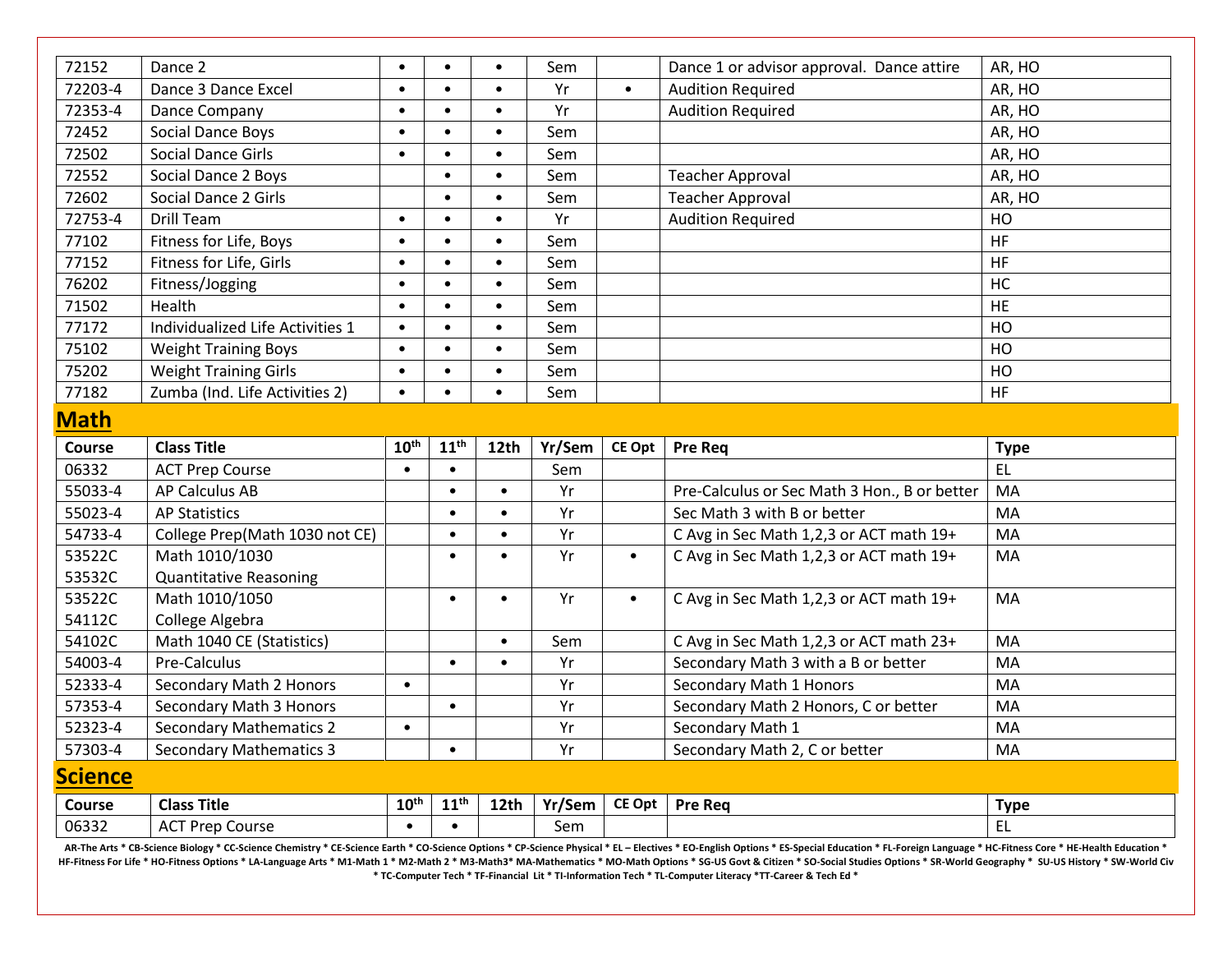| 77182           | Zumba (Ind. Life Activities 2)               | $\bullet$        | $\bullet$            | $\bullet$ | Sem           |               |                                              | <b>HF</b>          |
|-----------------|----------------------------------------------|------------------|----------------------|-----------|---------------|---------------|----------------------------------------------|--------------------|
| <b>Math</b>     |                                              |                  |                      |           |               |               |                                              |                    |
|                 |                                              |                  |                      |           |               |               |                                              |                    |
| Course          | <b>Class Title</b>                           | 10 <sup>th</sup> | 11 <sup>th</sup>     | 12th      | Yr/Sem        | CE Opt        | <b>Pre Req</b>                               | <b>Type</b>        |
| 06332           | <b>ACT Prep Course</b>                       | $\bullet$        | $\bullet$            |           | Sem           |               |                                              | EL.                |
| 55033-4         | <b>AP Calculus AB</b>                        |                  | $\bullet$            | $\bullet$ | Yr            |               | Pre-Calculus or Sec Math 3 Hon., B or better | MA                 |
|                 |                                              |                  |                      |           |               |               |                                              |                    |
| 55023-4         | <b>AP Statistics</b>                         |                  | $\bullet$            | $\bullet$ | Yr            |               | Sec Math 3 with B or better                  | MA                 |
| 54733-4         | College Prep(Math 1030 not CE)               |                  | $\bullet$            | $\bullet$ | Yr            |               | C Avg in Sec Math 1,2,3 or ACT math 19+      | MA                 |
| 53522C          | Math 1010/1030                               |                  | $\bullet$            | $\bullet$ | Yr            | $\bullet$     | C Avg in Sec Math 1,2,3 or ACT math 19+      | MA                 |
| 53532C          | <b>Quantitative Reasoning</b>                |                  |                      |           |               |               |                                              |                    |
| 53522C          | Math 1010/1050                               |                  | $\bullet$            | $\bullet$ | Yr            | $\bullet$     | C Avg in Sec Math 1,2,3 or ACT math 19+      | <b>MA</b>          |
| 54112C          | College Algebra                              |                  |                      |           |               |               |                                              |                    |
| 54102C          | Math 1040 CE (Statistics)                    |                  |                      | $\bullet$ | Sem           |               | C Avg in Sec Math 1,2,3 or ACT math 23+      | MA                 |
| 54003-4         | Pre-Calculus                                 |                  | $\bullet$            | $\bullet$ | Yr            |               | Secondary Math 3 with a B or better          | MA                 |
| 52333-4         | Secondary Math 2 Honors                      | $\bullet$        |                      |           | Yr            |               | Secondary Math 1 Honors                      | MA                 |
| 57353-4         | Secondary Math 3 Honors                      |                  | $\bullet$            |           | Yr            |               | Secondary Math 2 Honors, C or better         | MA                 |
| 52323-4         | <b>Secondary Mathematics 2</b>               | $\bullet$        |                      |           | Yr            |               | Secondary Math 1                             | MA                 |
| 57303-4         |                                              |                  | $\bullet$            |           | Yr            |               |                                              | MA                 |
|                 | <b>Secondary Mathematics 3</b>               |                  |                      |           |               |               | Secondary Math 2, C or better                |                    |
| <b>Science</b>  |                                              |                  |                      |           |               |               |                                              |                    |
| Course<br>06332 | <b>Class Title</b><br><b>ACT Prep Course</b> | 10 <sup>th</sup> | $11^{\overline{th}}$ | 12th      | Yr/Sem<br>Sem | <b>CE Opt</b> | <b>Pre Req</b>                               | <b>Type</b><br>EL. |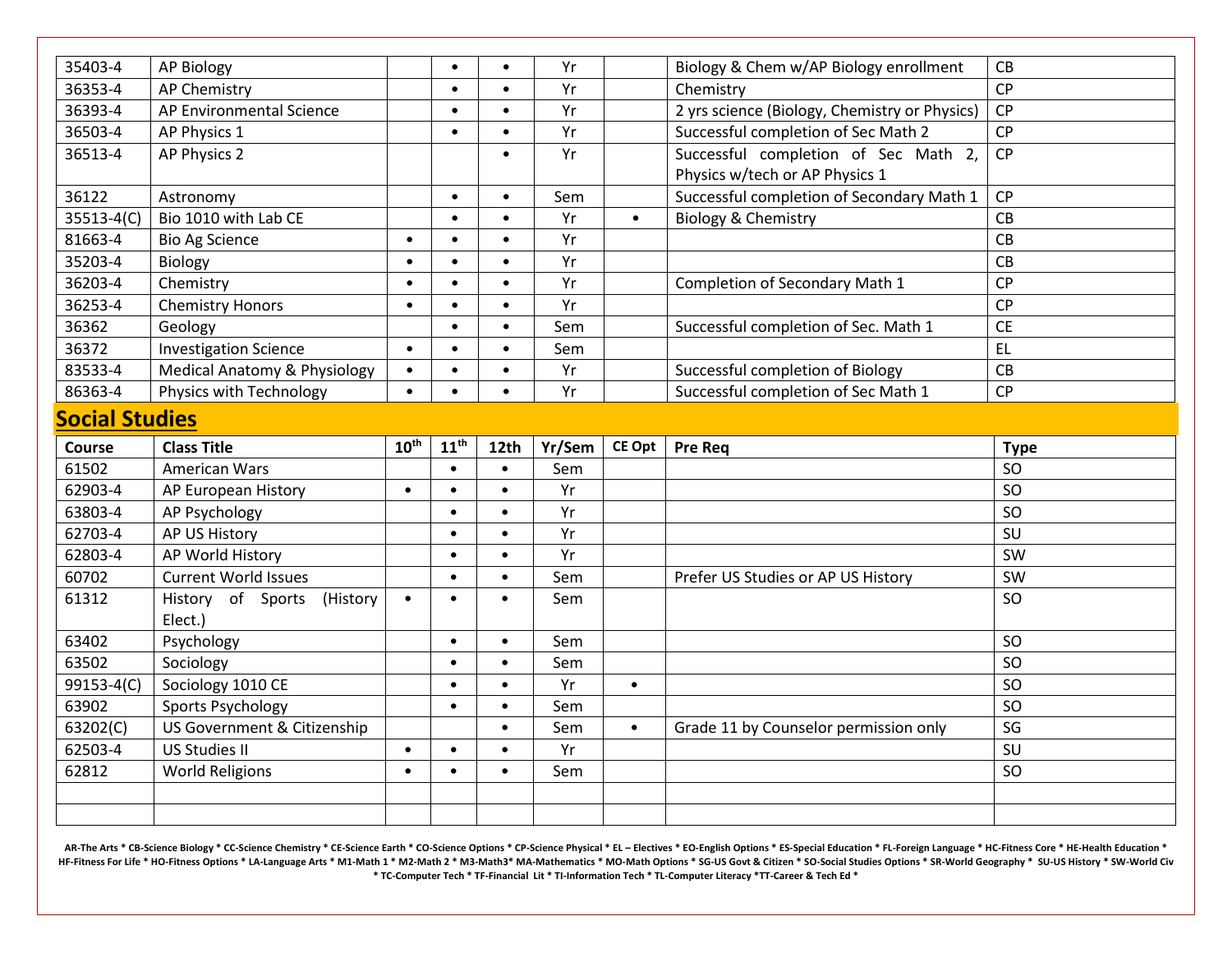| 35403-4               | <b>AP Biology</b>             |                  | $\bullet$ | $\bullet$ | Yr     |           | Biology & Chem w/AP Biology enrollment        | CB          |
|-----------------------|-------------------------------|------------------|-----------|-----------|--------|-----------|-----------------------------------------------|-------------|
| 36353-4               | <b>AP Chemistry</b>           |                  | $\bullet$ | $\bullet$ | Yr     |           | Chemistry                                     | CP          |
| 36393-4               | AP Environmental Science      |                  | $\bullet$ | $\bullet$ | Yr     |           | 2 yrs science (Biology, Chemistry or Physics) | CP          |
| 36503-4               | AP Physics 1                  |                  | $\bullet$ | $\bullet$ | Yr     |           | Successful completion of Sec Math 2           | CP          |
| 36513-4               | AP Physics 2                  |                  |           | $\bullet$ | Yr     |           | Successful completion of Sec Math 2,          | <b>CP</b>   |
|                       |                               |                  |           |           |        |           | Physics w/tech or AP Physics 1                |             |
| 36122                 | Astronomy                     |                  | $\bullet$ | $\bullet$ | Sem    |           | Successful completion of Secondary Math 1     | <b>CP</b>   |
| 35513-4(C)            | Bio 1010 with Lab CE          |                  | $\bullet$ | $\bullet$ | Yr     | $\bullet$ | Biology & Chemistry                           | CB          |
| 81663-4               | <b>Bio Ag Science</b>         | $\bullet$        | $\bullet$ | $\bullet$ | Yr     |           |                                               | CB          |
| 35203-4               | Biology                       |                  | $\bullet$ | $\bullet$ | Yr     |           |                                               | CB          |
| $36203 - 4$           | Chemistry                     | $\bullet$        | $\bullet$ | $\bullet$ | Yr     |           | Completion of Secondary Math 1                | CP          |
| 36253-4               | <b>Chemistry Honors</b>       | $\bullet$        | $\bullet$ | $\bullet$ | Yr     |           |                                               | CP          |
| 36362                 | Geology                       |                  | $\bullet$ | $\bullet$ | Sem    |           | Successful completion of Sec. Math 1          | CE          |
| 36372                 | <b>Investigation Science</b>  | $\bullet$        |           | $\bullet$ | Sem    |           |                                               | EL          |
| 83533-4               | Medical Anatomy & Physiology  |                  |           | $\bullet$ | Yr     |           | Successful completion of Biology              | CB          |
| 86363-4               | Physics with Technology       | $\bullet$        | $\bullet$ | $\bullet$ | Yr     |           | Successful completion of Sec Math 1           | CP          |
| <b>Social Studies</b> |                               |                  |           |           |        |           |                                               |             |
|                       |                               |                  |           |           |        |           |                                               |             |
| Course                | <b>Class Title</b>            | $10^{\text{th}}$ | $11^{th}$ | 12th      | Yr/Sem | CE Opt    | <b>Pre Req</b>                                | <b>Type</b> |
| 61502                 | <b>American Wars</b>          |                  | $\bullet$ | $\bullet$ | Sem    |           |                                               | SO          |
| 62903-4               | AP European History           | $\bullet$        | $\bullet$ | $\bullet$ | Yr     |           |                                               | SO          |
| 63803-4               | AP Psychology                 |                  | $\bullet$ | $\bullet$ | Yr     |           |                                               | SO          |
| 62703-4               | AP US History                 |                  | $\bullet$ | $\bullet$ | Yr     |           |                                               | SU          |
| 62803-4               | AP World History              |                  | $\bullet$ | $\bullet$ | Yr     |           |                                               | SW          |
| 60702                 | <b>Current World Issues</b>   |                  | $\bullet$ | $\bullet$ | Sem    |           | Prefer US Studies or AP US History            | SW          |
| 61312                 | History of Sports<br>(History | $\bullet$        | $\bullet$ | $\bullet$ | Sem    |           |                                               | <b>SO</b>   |
|                       | Elect.)                       |                  |           |           |        |           |                                               |             |
| 63402                 | Psychology                    |                  | $\bullet$ | $\bullet$ | Sem    |           |                                               | SO          |
| 63502                 | Sociology                     |                  | $\bullet$ | $\bullet$ | Sem    |           |                                               | SO          |
| 99153-4(C)            | Sociology 1010 CE             |                  | $\bullet$ | $\bullet$ | Yr     | $\bullet$ |                                               | SO          |
| 63902                 | Sports Psychology             |                  | $\bullet$ | $\bullet$ | Sem    |           |                                               | SO          |
| 63202(C)              | US Government & Citizenship   |                  |           | $\bullet$ | Sem    | $\bullet$ | Grade 11 by Counselor permission only         | SG          |
| 62503-4               | US Studies II                 | $\bullet$        | $\bullet$ | $\bullet$ | Yr     |           |                                               | SU          |
| 62812                 |                               | $\bullet$        | $\bullet$ | $\bullet$ | Sem    |           |                                               | SO          |
|                       | <b>World Religions</b>        |                  |           |           |        |           |                                               |             |
|                       |                               |                  |           |           |        |           |                                               |             |